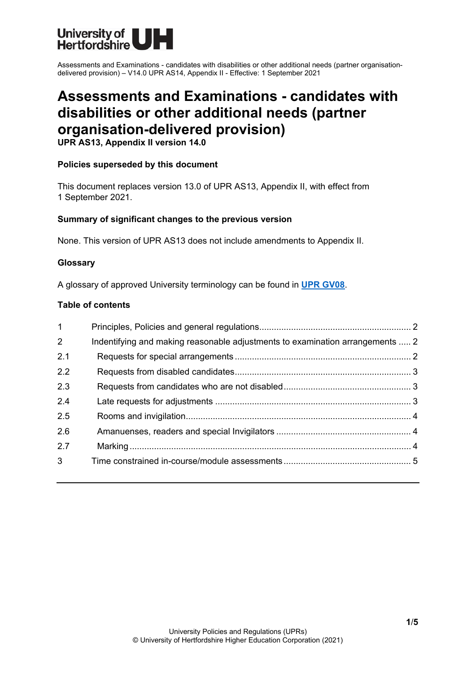

Assessments and Examinations - candidates with disabilities or other additional needs (partner organisationdelivered provision) – V14.0 UPR AS14, Appendix II - Effective: 1 September 2021

# **Assessments and Examinations - candidates with disabilities or other additional needs (partner organisation-delivered provision)**

**UPR AS13, Appendix II version 14.0**

## **Policies superseded by this document**

This document replaces version 13.0 of UPR AS13, Appendix II, with effect from 1 September 2021.

## **Summary of significant changes to the previous version**

None. This version of UPR AS13 does not include amendments to Appendix II.

## **Glossary**

A glossary of approved University terminology can be found in **[UPR GV08](https://www.herts.ac.uk/__data/assets/pdf_file/0020/233057/GV08-Glossary-of-Terminology.pdf)**.

#### **Table of contents**

| $\mathbf{1}$   |                                                                               |  |
|----------------|-------------------------------------------------------------------------------|--|
| $\overline{2}$ | Indentifying and making reasonable adjustments to examination arrangements  2 |  |
| 2.1            |                                                                               |  |
| 2.2            |                                                                               |  |
| 2.3            |                                                                               |  |
| 2.4            |                                                                               |  |
| 2.5            |                                                                               |  |
| 2.6            |                                                                               |  |
| 2.7            |                                                                               |  |
| 3 <sup>1</sup> |                                                                               |  |
|                |                                                                               |  |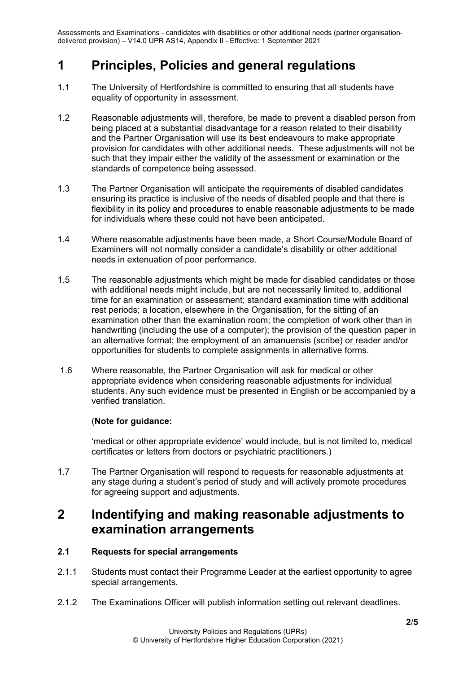Assessments and Examinations - candidates with disabilities or other additional needs (partner organisationdelivered provision) – V14.0 UPR AS14, Appendix II - Effective: 1 September 2021

## <span id="page-1-0"></span>**1 Principles, Policies and general regulations**

- 1.1 The University of Hertfordshire is committed to ensuring that all students have equality of opportunity in assessment.
- 1.2 Reasonable adjustments will, therefore, be made to prevent a disabled person from being placed at a substantial disadvantage for a reason related to their disability and the Partner Organisation will use its best endeavours to make appropriate provision for candidates with other additional needs. These adjustments will not be such that they impair either the validity of the assessment or examination or the standards of competence being assessed.
- 1.3 The Partner Organisation will anticipate the requirements of disabled candidates ensuring its practice is inclusive of the needs of disabled people and that there is flexibility in its policy and procedures to enable reasonable adjustments to be made for individuals where these could not have been anticipated.
- 1.4 Where reasonable adjustments have been made, a Short Course/Module Board of Examiners will not normally consider a candidate's disability or other additional needs in extenuation of poor performance.
- 1.5 The reasonable adjustments which might be made for disabled candidates or those with additional needs might include, but are not necessarily limited to, additional time for an examination or assessment; standard examination time with additional rest periods; a location, elsewhere in the Organisation, for the sitting of an examination other than the examination room; the completion of work other than in handwriting (including the use of a computer); the provision of the question paper in an alternative format; the employment of an amanuensis (scribe) or reader and/or opportunities for students to complete assignments in alternative forms.
- 1.6 Where reasonable, the Partner Organisation will ask for medical or other appropriate evidence when considering reasonable adjustments for individual students. Any such evidence must be presented in English or be accompanied by a verified translation.

## (**Note for guidance:**

'medical or other appropriate evidence' would include, but is not limited to, medical certificates or letters from doctors or psychiatric practitioners.)

1.7 The Partner Organisation will respond to requests for reasonable adjustments at any stage during a student's period of study and will actively promote procedures for agreeing support and adjustments.

## <span id="page-1-1"></span>**2 Indentifying and making reasonable adjustments to examination arrangements**

## <span id="page-1-2"></span>**2.1 Requests for special arrangements**

- 2.1.1 Students must contact their Programme Leader at the earliest opportunity to agree special arrangements.
- 2.1.2 The Examinations Officer will publish information setting out relevant deadlines.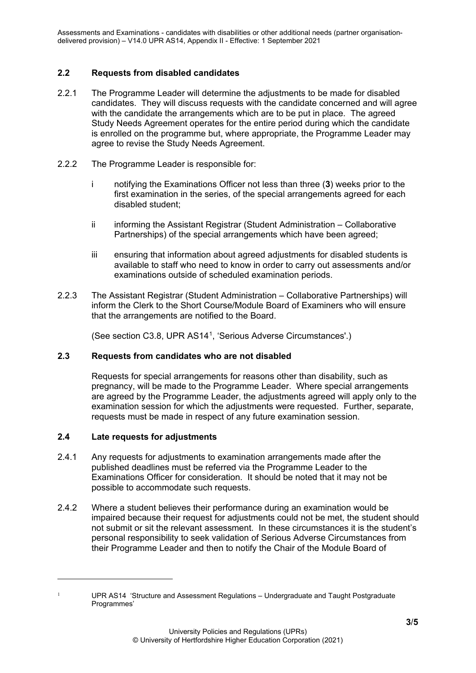## <span id="page-2-0"></span>**2.2 Requests from disabled candidates**

- 2.2.1 The Programme Leader will determine the adjustments to be made for disabled candidates. They will discuss requests with the candidate concerned and will agree with the candidate the arrangements which are to be put in place. The agreed Study Needs Agreement operates for the entire period during which the candidate is enrolled on the programme but, where appropriate, the Programme Leader may agree to revise the Study Needs Agreement.
- 2.2.2 The Programme Leader is responsible for:
	- i notifying the Examinations Officer not less than three (**3**) weeks prior to the first examination in the series, of the special arrangements agreed for each disabled student;
	- ii informing the Assistant Registrar (Student Administration Collaborative Partnerships) of the special arrangements which have been agreed;
	- iii ensuring that information about agreed adjustments for disabled students is available to staff who need to know in order to carry out assessments and/or examinations outside of scheduled examination periods.
- 2.2.3 The Assistant Registrar (Student Administration Collaborative Partnerships) will inform the Clerk to the Short Course/Module Board of Examiners who will ensure that the arrangements are notified to the Board.

(See section C3.8, UPR AS14[1,](#page-2-3) 'Serious Adverse Circumstances'.)

## <span id="page-2-1"></span>**2.3 Requests from candidates who are not disabled**

Requests for special arrangements for reasons other than disability, such as pregnancy, will be made to the Programme Leader. Where special arrangements are agreed by the Programme Leader, the adjustments agreed will apply only to the examination session for which the adjustments were requested. Further, separate, requests must be made in respect of any future examination session.

## <span id="page-2-2"></span>**2.4 Late requests for adjustments**

- 2.4.1 Any requests for adjustments to examination arrangements made after the published deadlines must be referred via the Programme Leader to the Examinations Officer for consideration. It should be noted that it may not be possible to accommodate such requests.
- 2.4.2 Where a student believes their performance during an examination would be impaired because their request for adjustments could not be met, the student should not submit or sit the relevant assessment. In these circumstances it is the student's personal responsibility to seek validation of Serious Adverse Circumstances from their Programme Leader and then to notify the Chair of the Module Board of

<span id="page-2-3"></span>

<sup>1</sup> UPR AS14 'Structure and Assessment Regulations – Undergraduate and Taught Postgraduate Programmes'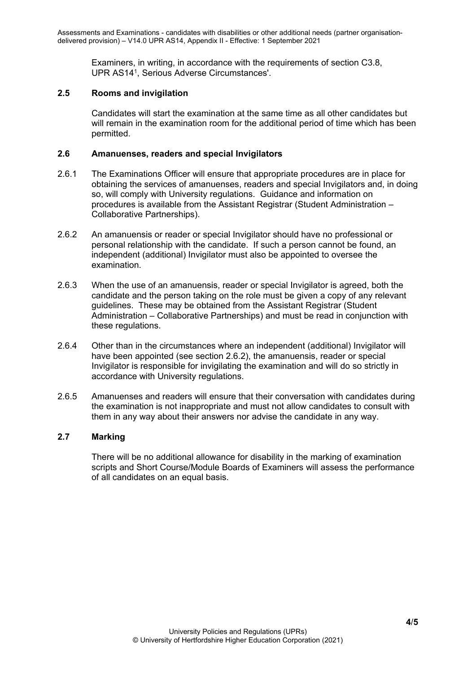Examiners, in writing, in accordance with the requirements of section C3.8, UPR AS141, Serious Adverse Circumstances'.

## <span id="page-3-0"></span>**2.5 Rooms and invigilation**

Candidates will start the examination at the same time as all other candidates but will remain in the examination room for the additional period of time which has been permitted.

## <span id="page-3-1"></span>**2.6 Amanuenses, readers and special Invigilators**

- 2.6.1 The Examinations Officer will ensure that appropriate procedures are in place for obtaining the services of amanuenses, readers and special Invigilators and, in doing so, will comply with University regulations. Guidance and information on procedures is available from the Assistant Registrar (Student Administration – Collaborative Partnerships).
- 2.6.2 An amanuensis or reader or special Invigilator should have no professional or personal relationship with the candidate. If such a person cannot be found, an independent (additional) Invigilator must also be appointed to oversee the examination.
- 2.6.3 When the use of an amanuensis, reader or special Invigilator is agreed, both the candidate and the person taking on the role must be given a copy of any relevant guidelines. These may be obtained from the Assistant Registrar (Student Administration – Collaborative Partnerships) and must be read in conjunction with these regulations.
- 2.6.4 Other than in the circumstances where an independent (additional) Invigilator will have been appointed (see section 2.6.2), the amanuensis, reader or special Invigilator is responsible for invigilating the examination and will do so strictly in accordance with University regulations.
- 2.6.5 Amanuenses and readers will ensure that their conversation with candidates during the examination is not inappropriate and must not allow candidates to consult with them in any way about their answers nor advise the candidate in any way.

## <span id="page-3-2"></span>**2.7 Marking**

There will be no additional allowance for disability in the marking of examination scripts and Short Course/Module Boards of Examiners will assess the performance of all candidates on an equal basis.